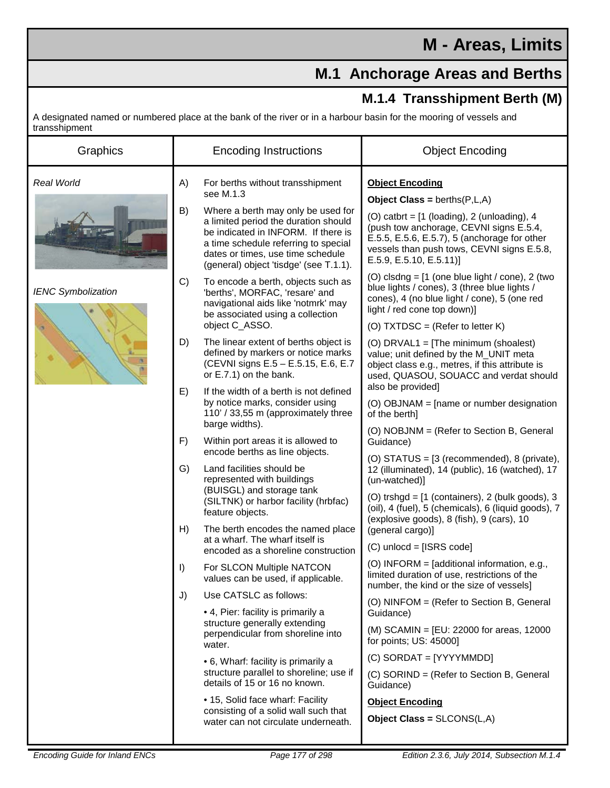## **M.1 Anchorage Areas and Berths**

## **M.1.4 Transshipment Berth (M)**

A designated named or numbered place at the bank of the river or in a harbour basin for the mooring of vessels and transshipment

| <b>Real World</b><br>For berths without transshipment<br><b>Object Encoding</b><br>A)<br>see M.1.3<br><b>Object Class = berths(<math>P, L, A</math>)</b><br>B)<br>Where a berth may only be used for<br>(O) catbrt = $[1$ (loading), 2 (unloading), 4<br>a limited period the duration should<br>(push tow anchorage, CEVNI signs E.5.4,<br>be indicated in INFORM. If there is<br>E.5.5, E.5.6, E.5.7), 5 (anchorage for other<br>a time schedule referring to special<br>vessels than push tows, CEVNI signs E.5.8,<br>dates or times, use time schedule<br>$E.5.9, E.5.10, E.5.11$ ]<br>(general) object 'tisdge' (see T.1.1).<br>(O) clsdng = $[1]$ (one blue light / cone), 2 (two<br>C)<br>To encode a berth, objects such as<br>blue lights / cones), 3 (three blue lights /<br><b>IENC Symbolization</b><br>'berths', MORFAC, 'resare' and<br>cones), 4 (no blue light / cone), 5 (one red<br>navigational aids like 'notmrk' may<br>light / red cone top down)]<br>be associated using a collection<br>object C_ASSO.<br>(O) TXTDSC = (Refer to letter K)<br>D)<br>The linear extent of berths object is<br>(O) DRVAL1 = [The minimum (shoalest)<br>defined by markers or notice marks<br>value; unit defined by the M_UNIT meta<br>(CEVNI signs E.5 - E.5.15, E.6, E.7<br>object class e.g., metres, if this attribute is<br>or E.7.1) on the bank.<br>used, QUASOU, SOUACC and verdat should<br>also be provided]<br>E)<br>If the width of a berth is not defined<br>by notice marks, consider using<br>(O) OBJNAM = [name or number designation<br>110' / 33,55 m (approximately three<br>of the berth]<br>barge widths).<br>(O) NOBJNM = (Refer to Section B, General<br>F)<br>Within port areas it is allowed to<br>Guidance)<br>encode berths as line objects.<br>(O) STATUS = [3 (recommended), 8 (private),<br>Land facilities should be<br>G)<br>12 (illuminated), 14 (public), 16 (watched), 17<br>represented with buildings<br>(un-watched)]<br>(BUISGL) and storage tank<br>(O) trshgd = [1 (containers), 2 (bulk goods), 3<br>(SILTNK) or harbor facility (hrbfac)<br>(oil), 4 (fuel), 5 (chemicals), 6 (liquid goods), 7<br>feature objects.<br>(explosive goods), 8 (fish), 9 (cars), 10<br>H)<br>The berth encodes the named place<br>(general cargo)]<br>at a wharf. The wharf itself is<br>$(C)$ unlocd = [ISRS code]<br>encoded as a shoreline construction<br>(O) INFORM = [additional information, e.g.,<br>I)<br>For SLCON Multiple NATCON<br>limited duration of use, restrictions of the<br>values can be used, if applicable.<br>number, the kind or the size of vessels]<br>J)<br>Use CATSLC as follows:<br>(O) NINFOM = (Refer to Section B, General<br>• 4, Pier: facility is primarily a<br>Guidance)<br>structure generally extending<br>(M) SCAMIN = $[EU: 22000$ for areas, 12000<br>perpendicular from shoreline into<br>for points; US: 45000]<br>water.<br>$(C)$ SORDAT = [YYYYMMDD]<br>• 6, Wharf: facility is primarily a<br>structure parallel to shoreline; use if<br>(C) SORIND = (Refer to Section B, General<br>details of 15 or 16 no known.<br>Guidance)<br>• 15, Solid face wharf: Facility<br><b>Object Encoding</b><br>consisting of a solid wall such that |
|----------------------------------------------------------------------------------------------------------------------------------------------------------------------------------------------------------------------------------------------------------------------------------------------------------------------------------------------------------------------------------------------------------------------------------------------------------------------------------------------------------------------------------------------------------------------------------------------------------------------------------------------------------------------------------------------------------------------------------------------------------------------------------------------------------------------------------------------------------------------------------------------------------------------------------------------------------------------------------------------------------------------------------------------------------------------------------------------------------------------------------------------------------------------------------------------------------------------------------------------------------------------------------------------------------------------------------------------------------------------------------------------------------------------------------------------------------------------------------------------------------------------------------------------------------------------------------------------------------------------------------------------------------------------------------------------------------------------------------------------------------------------------------------------------------------------------------------------------------------------------------------------------------------------------------------------------------------------------------------------------------------------------------------------------------------------------------------------------------------------------------------------------------------------------------------------------------------------------------------------------------------------------------------------------------------------------------------------------------------------------------------------------------------------------------------------------------------------------------------------------------------------------------------------------------------------------------------------------------------------------------------------------------------------------------------------------------------------------------------------------------------------------------------------------------------------------------------------------------------------------------------------------------------------------------------------------------------------------------------------------------------------------------------------------------------------------------------------------------------------------------------------------------------------------------------------------------------------|
| Object Class = $SLCONS(L, A)$<br>water can not circulate underneath.                                                                                                                                                                                                                                                                                                                                                                                                                                                                                                                                                                                                                                                                                                                                                                                                                                                                                                                                                                                                                                                                                                                                                                                                                                                                                                                                                                                                                                                                                                                                                                                                                                                                                                                                                                                                                                                                                                                                                                                                                                                                                                                                                                                                                                                                                                                                                                                                                                                                                                                                                                                                                                                                                                                                                                                                                                                                                                                                                                                                                                                                                                                                                 |